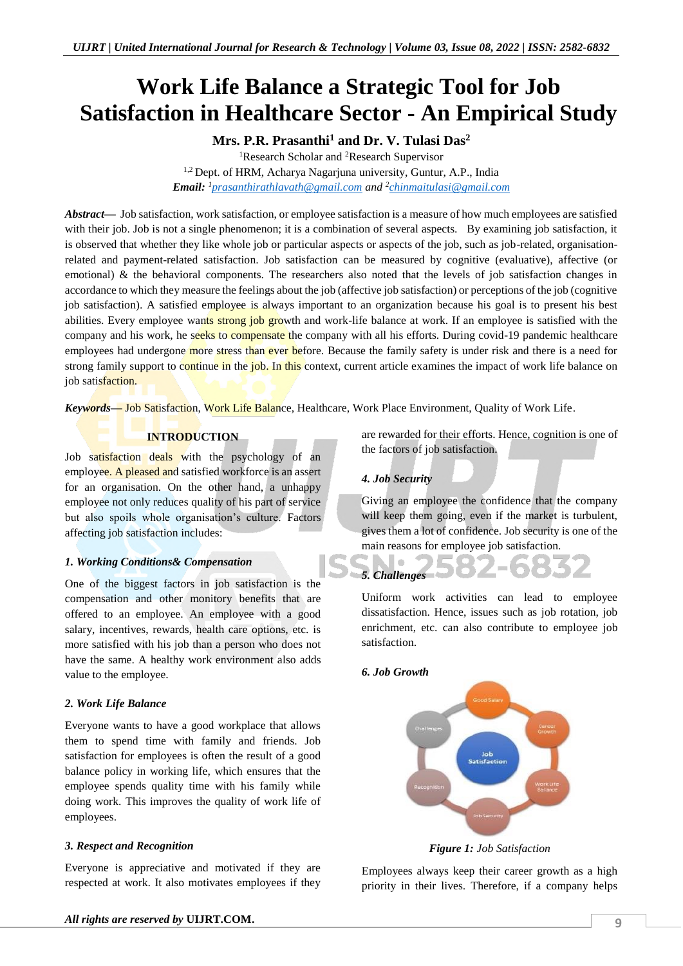# **Work Life Balance a Strategic Tool for Job Satisfaction in Healthcare Sector - An Empirical Study**

**Mrs. P.R. Prasanthi<sup>1</sup> and Dr. V. Tulasi Das<sup>2</sup>**

<sup>1</sup>Research Scholar and <sup>2</sup>Research Supervisor

<sup>1,2</sup> Dept. of HRM, Acharya Nagarjuna university, Guntur, A.P., India *Email: <sup>1</sup>[prasanthirathlavath@gmail.com](mailto:prasanthirathlavath@gmail.com) and <sup>2</sup> [chinmaitulasi@gmail.com](mailto:chinmaitulasi@gmail.com)*

*Abstract—* Job satisfaction, work satisfaction, or employee satisfaction is a measure of how much employees are satisfied with their job. Job is not a single phenomenon; it is a combination of several aspects. By examining job satisfaction, it is observed that whether they like whole job or particular aspects or aspects of the job, such as job-related, organisationrelated and payment-related satisfaction. Job satisfaction can be measured by cognitive (evaluative), affective (or emotional) & the behavioral components. The researchers also noted that the levels of job satisfaction changes in accordance to which they measure the feelings about the job (affective job satisfaction) or perceptions of the job (cognitive job satisfaction). A satisfied employee is always important to an organization because his goal is to present his best abilities. Every employee wants strong job growth and work-life balance at work. If an employee is satisfied with the company and his work, he seeks to compensate the company with all his efforts. During covid-19 pandemic healthcare employees had undergone more stress than ever before. Because the family safety is under risk and there is a need for strong family support to continue in the job. In this context, current article examines the impact of work life balance on job satisfaction.

*Keywords—* Job Satisfaction, Work Life Balance, Healthcare, Work Place Environment, Quality of Work Life.

# **INTRODUCTION**

Job satisfaction deals with the psychology of an employee. A pleased and satisfied workforce is an assert for an organisation. On the other hand, a unhappy employee not only reduces quality of his part of service but also spoils whole organisation's culture. Factors affecting job satisfaction includes:

# *1. Working Conditions& Compensation*

One of the biggest factors in job satisfaction is the compensation and other monitory benefits that are offered to an employee. An employee with a good salary, incentives, rewards, health care options, etc. is more satisfied with his job than a person who does not have the same. A healthy work environment also adds value to the employee.

### *2. Work Life Balance*

Everyone wants to have a good workplace that allows them to spend time with family and friends. Job satisfaction for employees is often the result of a good balance policy in working life, which ensures that the employee spends quality time with his family while doing work. This improves the quality of work life of employees.

### *3. Respect and Recognition*

Everyone is appreciative and motivated if they are respected at work. It also motivates employees if they are rewarded for their efforts. Hence, cognition is one of the factors of job satisfaction.

# *4. Job Security*

Giving an employee the confidence that the company will keep them going, even if the market is turbulent, gives them a lot of confidence. Job security is one of the main reasons for employee job satisfaction.

# $\bigcirc$ *5. Challenges* Uniform work activities can lead to employee

dissatisfaction. Hence, issues such as job rotation, job enrichment, etc. can also contribute to employee job satisfaction.

### *6. Job Growth*



*Figure 1: Job Satisfaction*

Employees always keep their career growth as a high priority in their lives. Therefore, if a company helps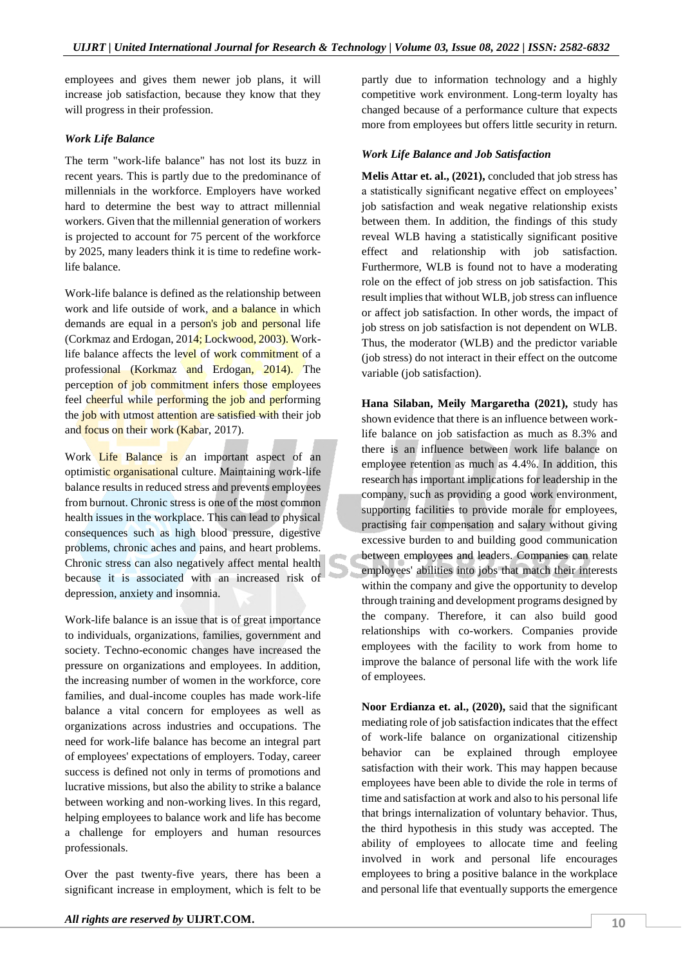employees and gives them newer job plans, it will increase job satisfaction, because they know that they will progress in their profession.

### *Work Life Balance*

The term "work-life balance" has not lost its buzz in recent years. This is partly due to the predominance of millennials in the workforce. Employers have worked hard to determine the best way to attract millennial workers. Given that the millennial generation of workers is projected to account for 75 percent of the workforce by 2025, many leaders think it is time to redefine worklife balance.

Work-life balance is defined as the relationship between work and life outside of work, and a balance in which demands are equal in a person's job and personal life (Corkmaz and Erdogan, 2014; Lockwood, 2003). Worklife balance affects the level of work commitment of a professional (Korkmaz and Erdogan, 2014). The perception of job commitment infers those employees feel cheerful while performing the job and performing the job with utmost attention are satisfied with their job and focus on their work (Kabar, 2017).

Work Life Balance is an important aspect of an optimistic organisational culture. Maintaining work-life balance results in reduced stress and prevents employees from burnout. Chronic stress is one of the most common health issues in the workplace. This can lead to physical consequences such as high blood pressure, digestive problems, chronic aches and pains, and heart problems. Chronic stress can also negatively affect mental health because it is associated with an increased risk of depression, anxiety and insomnia.

Work-life balance is an issue that is of great importance to individuals, organizations, families, government and society. Techno-economic changes have increased the pressure on organizations and employees. In addition, the increasing number of women in the workforce, core families, and dual-income couples has made work-life balance a vital concern for employees as well as organizations across industries and occupations. The need for work-life balance has become an integral part of employees' expectations of employers. Today, career success is defined not only in terms of promotions and lucrative missions, but also the ability to strike a balance between working and non-working lives. In this regard, helping employees to balance work and life has become a challenge for employers and human resources professionals.

Over the past twenty-five years, there has been a significant increase in employment, which is felt to be

partly due to information technology and a highly competitive work environment. Long-term loyalty has changed because of a performance culture that expects more from employees but offers little security in return.

## *Work Life Balance and Job Satisfaction*

**Melis Attar et. al., (2021),** concluded that job stress has a statistically significant negative effect on employees' job satisfaction and weak negative relationship exists between them. In addition, the findings of this study reveal WLB having a statistically significant positive effect and relationship with job satisfaction. Furthermore, WLB is found not to have a moderating role on the effect of job stress on job satisfaction. This result implies that without WLB, job stress can influence or affect job satisfaction. In other words, the impact of job stress on job satisfaction is not dependent on WLB. Thus, the moderator (WLB) and the predictor variable (job stress) do not interact in their effect on the outcome variable (job satisfaction).

**Hana Silaban, Meily Margaretha (2021),** study has shown evidence that there is an influence between worklife balance on job satisfaction as much as 8.3% and there is an influence between work life balance on employee retention as much as 4.4%. In addition, this research has important implications for leadership in the company, such as providing a good work environment, supporting facilities to provide morale for employees, practising fair compensation and salary without giving excessive burden to and building good communication between employees and leaders. Companies can relate employees' abilities into jobs that match their interests within the company and give the opportunity to develop through training and development programs designed by the company. Therefore, it can also build good relationships with co-workers. Companies provide employees with the facility to work from home to improve the balance of personal life with the work life of employees.

**Noor Erdianza et. al., (2020),** said that the significant mediating role of job satisfaction indicates that the effect of work-life balance on organizational citizenship behavior can be explained through employee satisfaction with their work. This may happen because employees have been able to divide the role in terms of time and satisfaction at work and also to his personal life that brings internalization of voluntary behavior. Thus, the third hypothesis in this study was accepted. The ability of employees to allocate time and feeling involved in work and personal life encourages employees to bring a positive balance in the workplace and personal life that eventually supports the emergence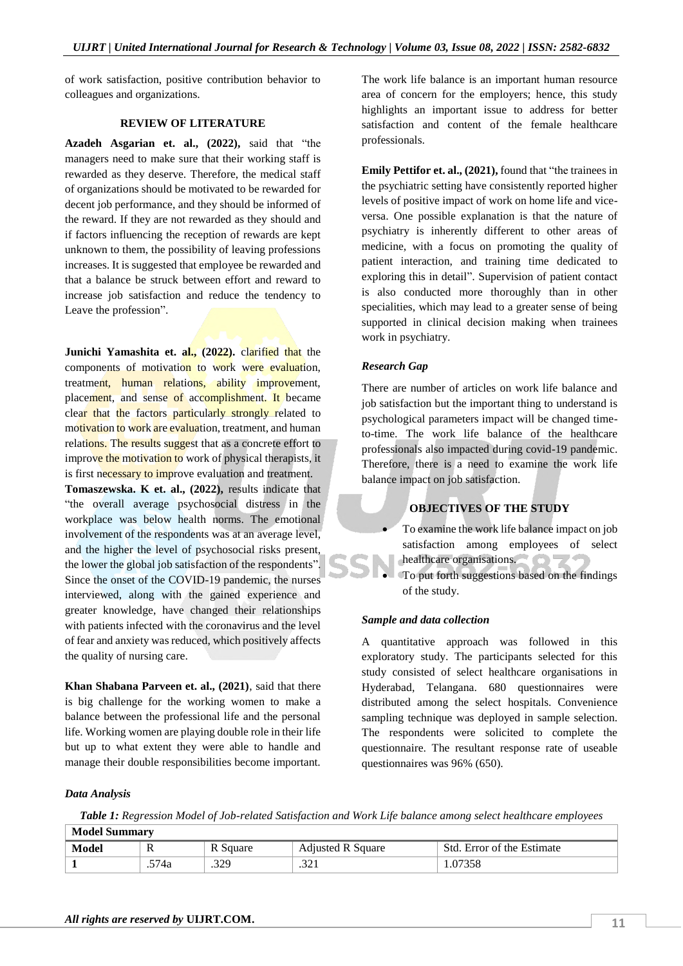of work satisfaction, positive contribution behavior to colleagues and organizations.

#### **REVIEW OF LITERATURE**

**Azadeh Asgarian et. al., (2022),** said that "the managers need to make sure that their working staff is rewarded as they deserve. Therefore, the medical staff of organizations should be motivated to be rewarded for decent job performance, and they should be informed of the reward. If they are not rewarded as they should and if factors influencing the reception of rewards are kept unknown to them, the possibility of leaving professions increases. It is suggested that employee be rewarded and that a balance be struck between effort and reward to increase job satisfaction and reduce the tendency to Leave the profession".

**Junichi Yamashita et. al., (2022).** clarified that the components of motivation to work were evaluation, treatment, human relations, ability improvement, placement, and sense of accomplishment. It became clear that the factors particularly strongly related to motivation to work are evaluation, treatment, and human relations. The results suggest that as a concrete effort to improve the motivation to work of physical therapists, it is first necessary to improve evaluation and treatment. **Tomaszewska. K et. al., (2022),** results indicate that "the overall average psychosocial distress in the workplace was below health norms. The emotional involvement of the respondents was at an average level, and the higher the level of psychosocial risks present, the lower the global job satisfaction of the respondents". Since the onset of the COVID-19 pandemic, the nurses interviewed, along with the gained experience and greater knowledge, have changed their relationships with patients infected with the coronavirus and the level of fear and anxiety was reduced, which positively affects the quality of nursing care.

**Khan Shabana Parveen et. al., (2021)**, said that there is big challenge for the working women to make a balance between the professional life and the personal life. Working women are playing double role in their life but up to what extent they were able to handle and manage their double responsibilities become important.

The work life balance is an important human resource area of concern for the employers; hence, this study highlights an important issue to address for better satisfaction and content of the female healthcare professionals.

**Emily Pettifor et. al., (2021), found that "the trainees in**" the psychiatric setting have consistently reported higher levels of positive impact of work on home life and viceversa. One possible explanation is that the nature of psychiatry is inherently different to other areas of medicine, with a focus on promoting the quality of patient interaction, and training time dedicated to exploring this in detail". Supervision of patient contact is also conducted more thoroughly than in other specialities, which may lead to a greater sense of being supported in clinical decision making when trainees work in psychiatry.

#### *Research Gap*

There are number of articles on work life balance and job satisfaction but the important thing to understand is psychological parameters impact will be changed timeto-time. The work life balance of the healthcare professionals also impacted during covid-19 pandemic. Therefore, there is a need to examine the work life balance impact on job satisfaction.

# **OBJECTIVES OF THE STUDY**

 To examine the work life balance impact on job satisfaction among employees of select healthcare organisations.

 To put forth suggestions based on the findings of the study.

#### *Sample and data collection*

A quantitative approach was followed in this exploratory study. The participants selected for this study consisted of select healthcare organisations in Hyderabad, Telangana. 680 questionnaires were distributed among the select hospitals. Convenience sampling technique was deployed in sample selection. The respondents were solicited to complete the questionnaire. The resultant response rate of useable questionnaires was 96% (650).

#### *Data Analysis*

*Table 1: Regression Model of Job-related Satisfaction and Work Life balance among select healthcare employees*  $\sqrt{M}$ 

| <b>NIQUEL SUMMINIST</b> |     |          |                          |                            |  |  |  |
|-------------------------|-----|----------|--------------------------|----------------------------|--|--|--|
| Model                   | Ŧ   | R Square | <b>Adiusted R Square</b> | Std. Error of the Estimate |  |  |  |
|                         | 74a | .329     | $\sim$<br>⊥ ∠ر.          |                            |  |  |  |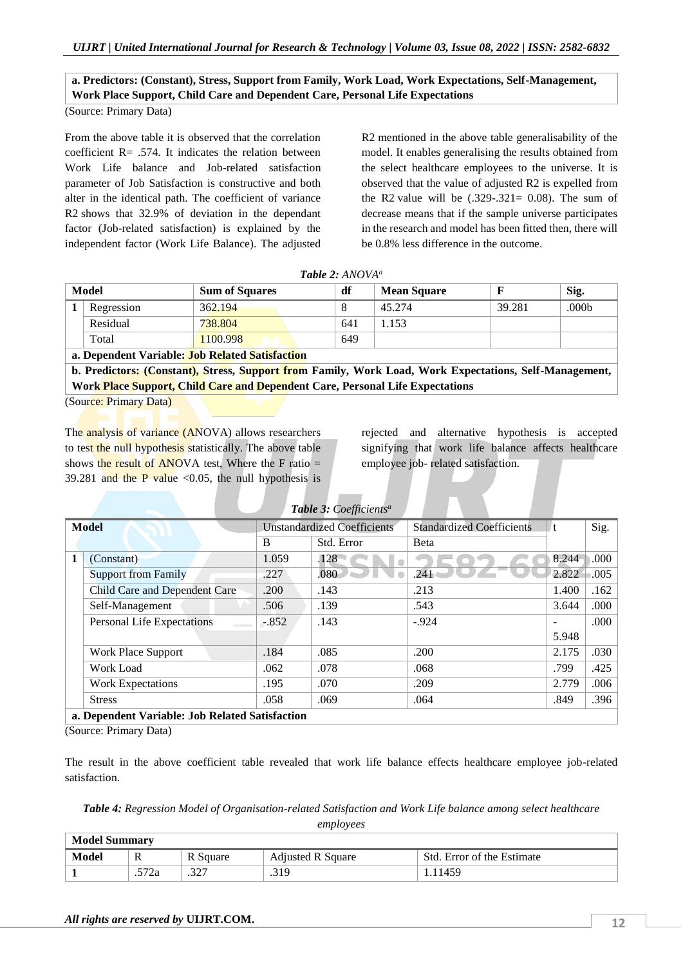# **a. Predictors: (Constant), Stress, Support from Family, Work Load, Work Expectations, Self-Management, Work Place Support, Child Care and Dependent Care, Personal Life Expectations**

(Source: Primary Data)

From the above table it is observed that the correlation coefficient  $R = .574$ . It indicates the relation between Work Life balance and Job-related satisfaction parameter of Job Satisfaction is constructive and both alter in the identical path. The coefficient of variance R2 shows that 32.9% of deviation in the dependant factor (Job-related satisfaction) is explained by the independent factor (Work Life Balance). The adjusted

R2 mentioned in the above table generalisability of the model. It enables generalising the results obtained from the select healthcare employees to the universe. It is observed that the value of adjusted R2 is expelled from the R2 value will be  $(.329-.321= 0.08)$ . The sum of decrease means that if the sample universe participates in the research and model has been fitted then, there will be 0.8% less difference in the outcome.

|       | $I$ and $L$ . And $I$                                 |                       |     |                    |        |       |  |  |  |
|-------|-------------------------------------------------------|-----------------------|-----|--------------------|--------|-------|--|--|--|
| Model |                                                       | <b>Sum of Squares</b> | df  | <b>Mean Square</b> |        | Sig.  |  |  |  |
|       | Regression                                            | 362.194               |     | 45.274             | 39.281 | .000b |  |  |  |
|       | Residual                                              | 738.804               | 641 | .153               |        |       |  |  |  |
|       | Total                                                 | 1100.998              | 649 |                    |        |       |  |  |  |
|       | <b>e. Depardent Verichles Joh Delated Setiategian</b> |                       |     |                    |        |       |  |  |  |

*Table 2: ANOVA<sup>a</sup>*

| a. Dependent Variable: Job Related Satisfaction |  |
|-------------------------------------------------|--|
|                                                 |  |

**b. Predictors: (Constant), Stress, Support from Family, Work Load, Work Expectations, Self-Management, Work Place Support, Child Care and Dependent Care, Personal Life Expectations**

(Source: Primary Data)

The analysis of variance (ANOVA) allows researchers to test the null hypothesis statistically. The above table shows the result of ANOVA test, Where the F ratio  $=$ 39.281 and the P value  $\langle 0.05 \rangle$ , the null hypothesis is

rejected and alternative hypothesis is accepted signifying that work life balance affects healthcare employee job- related satisfaction.

| Table 3: Coefficients <sup>a</sup>             |                             |            |                                  |       |       |  |  |  |
|------------------------------------------------|-----------------------------|------------|----------------------------------|-------|-------|--|--|--|
| <b>Model</b>                                   | Unstandardized Coefficients |            | <b>Standardized Coefficients</b> | ∥t.   | Sig.  |  |  |  |
|                                                | B                           | Std. Error | <b>B</b> eta                     |       |       |  |  |  |
| (Constant)                                     | 1.059                       | .128       |                                  | 8.244 | .000. |  |  |  |
| <b>Support from Family</b>                     | .227                        | .080       | .241                             | 2.822 | .005  |  |  |  |
| Child Care and Dependent Care                  | .200                        | .143       | .213                             | 1.400 | .162  |  |  |  |
| Self-Management                                | .506                        | .139       | .543                             | 3.644 | .000  |  |  |  |
| <b>Personal Life Expectations</b>              | $-.852$                     | .143       | $-.924$                          |       | .000  |  |  |  |
|                                                |                             |            |                                  | 5.948 |       |  |  |  |
| Work Place Support                             | .184                        | .085       | .200                             | 2.175 | .030  |  |  |  |
| Work Load                                      | .062                        | .078       | .068                             | .799  | .425  |  |  |  |
| <b>Work Expectations</b>                       | .195                        | .070       | .209                             | 2.779 | .006  |  |  |  |
| <b>Stress</b>                                  | .058                        | .069       | .064                             | .849  | .396  |  |  |  |
| a Depardent Variables Leb Delated Cattafaction |                             |            |                                  |       |       |  |  |  |

**a. Dependent Variable: Job Related Satisfaction**

(Source: Primary Data)

The result in the above coefficient table revealed that work life balance effects healthcare employee job-related satisfaction.

*Table 4: Regression Model of Organisation-related Satisfaction and Work Life balance among select healthcare* 

*employees*

| <b>Model Summary</b> |             |               |                          |                            |  |  |
|----------------------|-------------|---------------|--------------------------|----------------------------|--|--|
| Model                | $\mathbb R$ | R Square      | <b>Adjusted R Square</b> | Std. Error of the Estimate |  |  |
|                      | .572a       | 227<br>، بے ب | .319                     | 11459                      |  |  |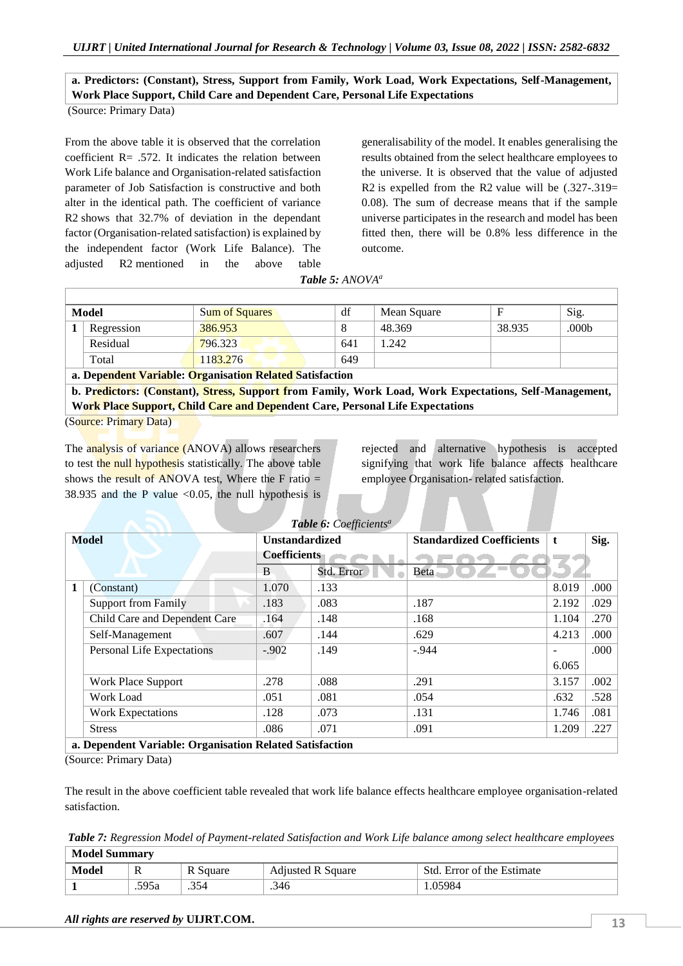# **a. Predictors: (Constant), Stress, Support from Family, Work Load, Work Expectations, Self-Management, Work Place Support, Child Care and Dependent Care, Personal Life Expectations**

(Source: Primary Data)

From the above table it is observed that the correlation coefficient  $R = 0.572$ . It indicates the relation between Work Life balance and Organisation-related satisfaction parameter of Job Satisfaction is constructive and both alter in the identical path. The coefficient of variance R2 shows that 32.7% of deviation in the dependant factor (Organisation-related satisfaction) is explained by the independent factor (Work Life Balance). The adjusted R2 mentioned in the above table

generalisability of the model. It enables generalising the results obtained from the select healthcare employees to the universe. It is observed that the value of adjusted R2 is expelled from the R2 value will be  $(.327-.319=$ 0.08). The sum of decrease means that if the sample universe participates in the research and model has been fitted then, there will be 0.8% less difference in the outcome.

*Table 5: ANOVA<sup>a</sup>*

| <b>Model</b> | <b>Sum of Squares</b> | df  | Mean Square |        | Sig.  |
|--------------|-----------------------|-----|-------------|--------|-------|
| Regression   | 386.953               |     | 48.369      | 38.935 | .000b |
| Residual     | 796.323               | 641 | .242        |        |       |
| Total        | 1183.276              | 649 |             |        |       |

**a. Dependent Variable: Organisation Related Satisfaction**

**b. Predictors: (Constant), Stress, Support from Family, Work Load, Work Expectations, Self-Management, Work Place Support, Child Care and Dependent Care, Personal Life Expectations**

(Source: Primary Data)

The analysis of variance (ANOVA) allows researchers to test the null hypothesis statistically. The above table shows the result of ANOVA test, Where the F ratio  $=$ 38.935 and the P value  $< 0.05$ , the null hypothesis is

rejected and alternative hypothesis is accepted signifying that work life balance affects healthcare employee Organisation- related satisfaction.

|   | Table 6: Coefficients <sup>a</sup>                       |                       |            |                                  |       |      |  |  |  |  |
|---|----------------------------------------------------------|-----------------------|------------|----------------------------------|-------|------|--|--|--|--|
|   | <b>Model</b>                                             | <b>Unstandardized</b> |            | <b>Standardized Coefficients</b> | t     | Sig. |  |  |  |  |
|   |                                                          | <b>Coefficients</b>   |            |                                  |       |      |  |  |  |  |
|   |                                                          | B                     | Std. Error | Beta                             |       |      |  |  |  |  |
| 1 | (Constant)                                               | 1.070                 | .133       |                                  | 8.019 | .000 |  |  |  |  |
|   | <b>Support from Family</b>                               | .183                  | .083       | .187                             | 2.192 | .029 |  |  |  |  |
|   | Child Care and Dependent Care                            | .164                  | .148       | .168                             | 1.104 | .270 |  |  |  |  |
|   | Self-Management                                          | .607                  | .144       | .629                             | 4.213 | .000 |  |  |  |  |
|   | Personal Life Expectations                               | $-.902$               | .149       | $-.944$                          | -     | .000 |  |  |  |  |
|   |                                                          |                       |            |                                  | 6.065 |      |  |  |  |  |
|   | Work Place Support                                       | .278                  | .088       | .291                             | 3.157 | .002 |  |  |  |  |
|   | Work Load                                                | .051                  | .081       | .054                             | .632  | .528 |  |  |  |  |
|   | <b>Work Expectations</b>                                 | .128                  | .073       | .131                             | 1.746 | .081 |  |  |  |  |
|   | <b>Stress</b>                                            | .086                  | .071       | .091                             | 1.209 | .227 |  |  |  |  |
|   | a. Dependent Variable: Organisation Related Satisfaction |                       |            |                                  |       |      |  |  |  |  |

(Source: Primary Data)

The result in the above coefficient table revealed that work life balance effects healthcare employee organisation-related satisfaction.

*Table 7: Regression Model of Payment-related Satisfaction and Work Life balance among select healthcare employees*  $\sqrt{M+1}$ 

| - Model Summary |       |          |                          |                            |  |  |
|-----------------|-------|----------|--------------------------|----------------------------|--|--|
| Model           | R     | K Square | <b>Adjusted R Square</b> | Std. Error of the Estimate |  |  |
|                 | .595a | .354     | .346                     | .05984                     |  |  |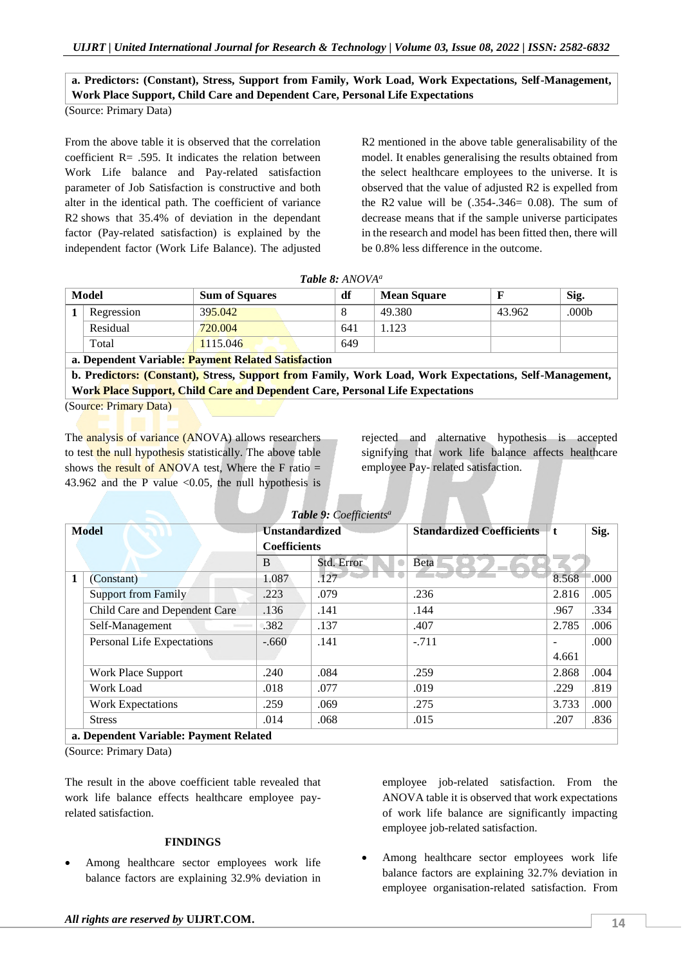# **a. Predictors: (Constant), Stress, Support from Family, Work Load, Work Expectations, Self-Management, Work Place Support, Child Care and Dependent Care, Personal Life Expectations**

(Source: Primary Data)

From the above table it is observed that the correlation coefficient  $R = .595$ . It indicates the relation between Work Life balance and Pay-related satisfaction parameter of Job Satisfaction is constructive and both alter in the identical path. The coefficient of variance R2 shows that 35.4% of deviation in the dependant factor (Pay-related satisfaction) is explained by the independent factor (Work Life Balance). The adjusted

R2 mentioned in the above table generalisability of the model. It enables generalising the results obtained from the select healthcare employees to the universe. It is observed that the value of adjusted R2 is expelled from the R2 value will be  $(.354-.346= 0.08)$ . The sum of decrease means that if the sample universe participates in the research and model has been fitted then, there will be 0.8% less difference in the outcome.

| <b>Model</b>                                                         | <b>Sum of Squares</b> | df  | <b>Mean Square</b> |        | Sig.  |
|----------------------------------------------------------------------|-----------------------|-----|--------------------|--------|-------|
| Regression                                                           | 395.042               |     | 49.380             | 43.962 | .000b |
| Residual                                                             | 720.004               | 641 | 1.123              |        |       |
| Total                                                                | 1115.046              | 649 |                    |        |       |
| $\sim$ $\sim$ $\sim$ $\sim$ $\sim$ $\sim$ $\sim$<br>$\sim$<br>$\sim$ |                       |     |                    |        |       |

**a. Dependent Variable: Payment Related Satisfaction**

**b. Predictors: (Constant), Stress, Support from Family, Work Load, Work Expectations, Self-Management, Work Place Support, Child Care and Dependent Care, Personal Life Expectations**

(Source: Primary Data)

The analysis of variance (ANOVA) allows researchers to test the null hypothesis statistically. The above table shows the result of ANOVA test, Where the F ratio  $=$ 43.962 and the P value  $\langle 0.05 \rangle$ , the null hypothesis is

rejected and alternative hypothesis is accepted signifying that work life balance affects healthcare employee Pay- related satisfaction.

| Table 9: Coefficients <sup>a</sup> |                                        |                       |            |                                  |       |         |  |  |
|------------------------------------|----------------------------------------|-----------------------|------------|----------------------------------|-------|---------|--|--|
|                                    | <b>Model</b>                           | <b>Unstandardized</b> |            | <b>Standardized Coefficients</b> | ″ t   | Sig.    |  |  |
|                                    |                                        | <b>Coefficients</b>   |            |                                  |       |         |  |  |
|                                    |                                        | B                     | Std. Error | Beta                             |       |         |  |  |
| 1                                  | (Constant)                             | 1.087                 | .127       |                                  | 8.568 | $000$ . |  |  |
|                                    | Support from Family                    | .223                  | .079       | .236                             | 2.816 | .005    |  |  |
|                                    | Child Care and Dependent Care          | .136                  | .141       | .144                             | .967  | .334    |  |  |
|                                    | Self-Management                        | .382                  | .137       | .407                             | 2.785 | .006    |  |  |
|                                    | Personal Life Expectations             | $-.660$               | .141       | $-.711$                          |       | .000    |  |  |
|                                    |                                        |                       |            |                                  | 4.661 |         |  |  |
|                                    | Work Place Support                     | .240                  | .084       | .259                             | 2.868 | .004    |  |  |
|                                    | Work Load                              | .018                  | .077       | .019                             | .229  | .819    |  |  |
|                                    | <b>Work Expectations</b>               | .259                  | .069       | .275                             | 3.733 | .000    |  |  |
|                                    | <b>Stress</b>                          | .014                  | .068       | .015                             | .207  | .836    |  |  |
|                                    | a. Dependent Variable: Payment Related |                       |            |                                  |       |         |  |  |

(Source: Primary Data)

The result in the above coefficient table revealed that work life balance effects healthcare employee payrelated satisfaction.

### **FINDINGS**

 Among healthcare sector employees work life balance factors are explaining 32.9% deviation in employee job-related satisfaction. From the ANOVA table it is observed that work expectations of work life balance are significantly impacting employee job-related satisfaction.

 Among healthcare sector employees work life balance factors are explaining 32.7% deviation in employee organisation-related satisfaction. From